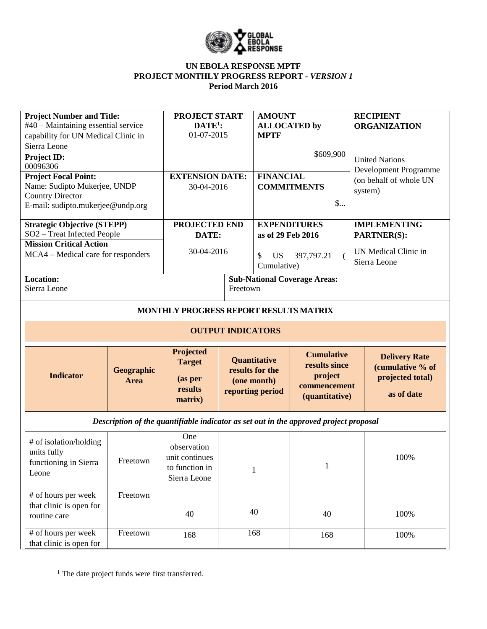

## **UN EBOLA RESPONSE MPTF PROJECT MONTHLY PROGRESS REPORT** *- VERSION 1* **Period March 2016**

| <b>Project Number and Title:</b><br>#40 - Maintaining essential service<br>capability for UN Medical Clinic in<br>Sierra Leone |                                  | <b>PROJECT START</b><br>$DATE1$ :<br>01-07-2015                        |          | <b>AMOUNT</b><br><b>ALLOCATED</b> by<br><b>MPTF</b>                |                                                                                 | <b>RECIPIENT</b><br><b>ORGANIZATION</b>                                    |  |  |
|--------------------------------------------------------------------------------------------------------------------------------|----------------------------------|------------------------------------------------------------------------|----------|--------------------------------------------------------------------|---------------------------------------------------------------------------------|----------------------------------------------------------------------------|--|--|
| Project ID:<br>00096306                                                                                                        |                                  |                                                                        |          |                                                                    | \$609,900                                                                       | <b>United Nations</b>                                                      |  |  |
| <b>Project Focal Point:</b><br>Name: Sudipto Mukerjee, UNDP<br><b>Country Director</b><br>E-mail: sudipto.mukerjee@undp.org    |                                  | <b>EXTENSION DATE:</b><br>30-04-2016                                   |          | <b>FINANCIAL</b><br><b>COMMITMENTS</b><br>$\mathsf{S}$             |                                                                                 | Development Programme<br>(on behalf of whole UN<br>system)                 |  |  |
| <b>Strategic Objective (STEPP)</b><br>SO2 - Treat Infected People                                                              |                                  | PROJECTED END<br>DATE:                                                 |          | <b>EXPENDITURES</b><br>as of 29 Feb 2016                           |                                                                                 | <b>IMPLEMENTING</b><br>PARTNER(S):                                         |  |  |
| <b>Mission Critical Action</b><br>MCA4 – Medical care for responders                                                           |                                  | 30-04-2016                                                             |          | \$<br><b>US</b><br>397,797.21<br>$\left($<br>Cumulative)           |                                                                                 | UN Medical Clinic in<br>Sierra Leone                                       |  |  |
| Location:<br>Sierra Leone                                                                                                      |                                  |                                                                        | Freetown |                                                                    | <b>Sub-National Coverage Areas:</b>                                             |                                                                            |  |  |
| MONTHLY PROGRESS REPORT RESULTS MATRIX                                                                                         |                                  |                                                                        |          |                                                                    |                                                                                 |                                                                            |  |  |
| <b>OUTPUT INDICATORS</b>                                                                                                       |                                  |                                                                        |          |                                                                    |                                                                                 |                                                                            |  |  |
| <b>Indicator</b>                                                                                                               | <b>Geographic</b><br><b>Area</b> | Projected<br><b>Target</b><br>(as per<br>results<br>matrix)            |          | Quantitative<br>results for the<br>(one month)<br>reporting period | <b>Cumulative</b><br>results since<br>project<br>commencement<br>(quantitative) | <b>Delivery Rate</b><br>(cumulative % of<br>projected total)<br>as of date |  |  |
| Description of the quantifiable indicator as set out in the approved project proposal                                          |                                  |                                                                        |          |                                                                    |                                                                                 |                                                                            |  |  |
| # of isolation/holding<br>units fully<br>functioning in Sierra<br>Leone                                                        | Freetown                         | One<br>observation<br>unit continues<br>to function in<br>Sierra Leone |          | 1                                                                  | $\mathbf{1}$                                                                    | 100%                                                                       |  |  |
| # of hours per week<br>that clinic is open for<br>routine care                                                                 | Freetown                         | 40                                                                     |          | 40                                                                 | 40                                                                              | 100%                                                                       |  |  |
| # of hours per week<br>that clinic is open for                                                                                 | Freetown                         | 168                                                                    |          | 168                                                                | 168                                                                             | 100%                                                                       |  |  |

 $\overline{a}$ <sup>1</sup> The date project funds were first transferred.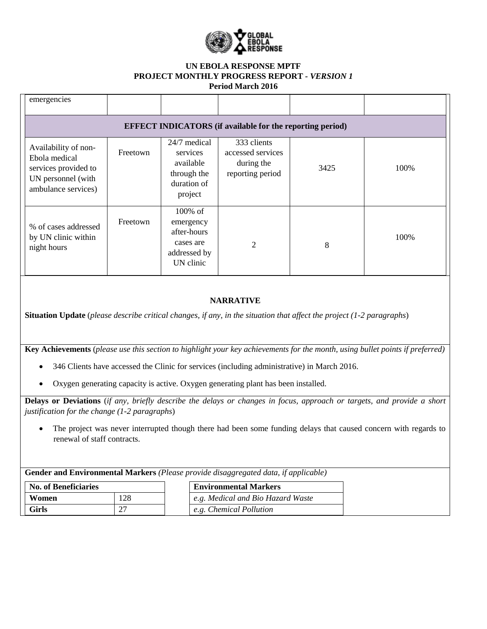

## **UN EBOLA RESPONSE MPTF PROJECT MONTHLY PROGRESS REPORT** *- VERSION 1* **Period March 2016**

| emergencies                                                                                                |          |                                                                                |                                                                    |      |      |
|------------------------------------------------------------------------------------------------------------|----------|--------------------------------------------------------------------------------|--------------------------------------------------------------------|------|------|
|                                                                                                            |          |                                                                                | <b>EFFECT INDICATORS</b> (if available for the reporting period)   |      |      |
| Availability of non-<br>Ebola medical<br>services provided to<br>UN personnel (with<br>ambulance services) | Freetown | 24/7 medical<br>services<br>available<br>through the<br>duration of<br>project | 333 clients<br>accessed services<br>during the<br>reporting period | 3425 | 100% |
| % of cases addressed<br>by UN clinic within<br>night hours                                                 | Freetown | 100% of<br>emergency<br>after-hours<br>cases are<br>addressed by<br>UN clinic  | $\overline{2}$                                                     | 8    | 100% |
|                                                                                                            |          |                                                                                |                                                                    |      |      |

## **NARRATIVE**

**Situation Update** (*please describe critical changes, if any, in the situation that affect the project (1-2 paragraphs*)

**Key Achievements** (*please use this section to highlight your key achievements for the month, using bullet points if preferred)*

- 346 Clients have accessed the Clinic for services (including administrative) in March 2016.
- Oxygen generating capacity is active. Oxygen generating plant has been installed.

**Delays or Deviations** (*if any, briefly describe the delays or changes in focus, approach or targets, and provide a short justification for the change (1-2 paragraphs*)

 The project was never interrupted though there had been some funding delays that caused concern with regards to renewal of staff contracts.

**Gender and Environmental Markers** *(Please provide disaggregated data, if applicable)*

| <b>No. of Beneficiaries</b> |     | <b>Environmental Markers</b>      |  |  |
|-----------------------------|-----|-----------------------------------|--|--|
| Women                       | 128 | e.g. Medical and Bio Hazard Waste |  |  |
| Girls                       | ∠   | e.g. Chemical Pollution           |  |  |